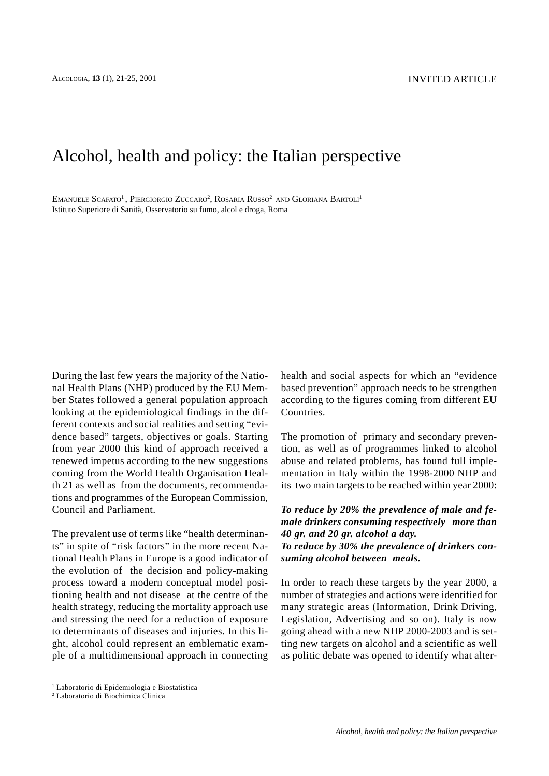# Alcohol, health and policy: the Italian perspective

EMANUELE  $\rm Sc$ afato $^1$ , Piergiorgio Zuccaro $^2$ , Rosaria Russo $^2$  and Gloriana Bartoli $^1$ Istituto Superiore di Sanità, Osservatorio su fumo, alcol e droga, Roma

During the last few years the majority of the National Health Plans (NHP) produced by the EU Member States followed a general population approach looking at the epidemiological findings in the different contexts and social realities and setting "evidence based" targets, objectives or goals. Starting from year 2000 this kind of approach received a renewed impetus according to the new suggestions coming from the World Health Organisation Health 21 as well as from the documents, recommendations and programmes of the European Commission, Council and Parliament.

The prevalent use of terms like "health determinants" in spite of "risk factors" in the more recent National Health Plans in Europe is a good indicator of the evolution of the decision and policy-making process toward a modern conceptual model positioning health and not disease at the centre of the health strategy, reducing the mortality approach use and stressing the need for a reduction of exposure to determinants of diseases and injuries. In this light, alcohol could represent an emblematic example of a multidimensional approach in connecting health and social aspects for which an "evidence based prevention" approach needs to be strengthen according to the figures coming from different EU Countries.

The promotion of primary and secondary prevention, as well as of programmes linked to alcohol abuse and related problems, has found full implementation in Italy within the 1998-2000 NHP and its two main targets to be reached within year 2000:

*To reduce by 20% the prevalence of male and female drinkers consuming respectively more than 40 gr. and 20 gr. alcohol a day. To reduce by 30% the prevalence of drinkers consuming alcohol between meals.*

In order to reach these targets by the year 2000, a number of strategies and actions were identified for many strategic areas (Information, Drink Driving, Legislation, Advertising and so on). Italy is now going ahead with a new NHP 2000-2003 and is setting new targets on alcohol and a scientific as well as politic debate was opened to identify what alter-

<sup>1</sup> Laboratorio di Epidemiologia e Biostatistica

<sup>2</sup> Laboratorio di Biochimica Clinica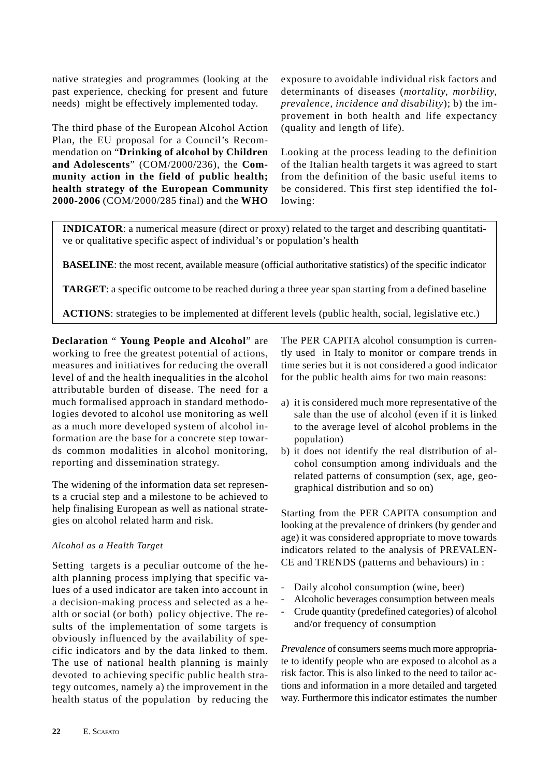native strategies and programmes (looking at the past experience, checking for present and future needs) might be effectively implemented today.

The third phase of the European Alcohol Action Plan, the EU proposal for a Council's Recommendation on "**Drinking of alcohol by Children and Adolescents**" (COM/2000/236), the **Community action in the field of public health; health strategy of the European Community 2000-2006** (COM/2000/285 final) and the **WHO**

exposure to avoidable individual risk factors and determinants of diseases (*mortality, morbility, prevalence, incidence and disability*); b) the improvement in both health and life expectancy (quality and length of life).

Looking at the process leading to the definition of the Italian health targets it was agreed to start from the definition of the basic useful items to be considered. This first step identified the following:

**INDICATOR:** a numerical measure (direct or proxy) related to the target and describing quantitative or qualitative specific aspect of individual's or population's health

**BASELINE**: the most recent, available measure (official authoritative statistics) of the specific indicator

**TARGET**: a specific outcome to be reached during a three year span starting from a defined baseline

**ACTIONS**: strategies to be implemented at different levels (public health, social, legislative etc.)

**Declaration** " **Young People and Alcohol**" are working to free the greatest potential of actions, measures and initiatives for reducing the overall level of and the health inequalities in the alcohol attributable burden of disease. The need for a much formalised approach in standard methodologies devoted to alcohol use monitoring as well as a much more developed system of alcohol information are the base for a concrete step towards common modalities in alcohol monitoring, reporting and dissemination strategy.

The widening of the information data set represents a crucial step and a milestone to be achieved to help finalising European as well as national strategies on alcohol related harm and risk.

## *Alcohol as a Health Target*

Setting targets is a peculiar outcome of the health planning process implying that specific values of a used indicator are taken into account in a decision-making process and selected as a health or social (or both) policy objective. The results of the implementation of some targets is obviously influenced by the availability of specific indicators and by the data linked to them. The use of national health planning is mainly devoted to achieving specific public health strategy outcomes, namely a) the improvement in the health status of the population by reducing the The PER CAPITA alcohol consumption is currently used in Italy to monitor or compare trends in time series but it is not considered a good indicator for the public health aims for two main reasons:

- a) it is considered much more representative of the sale than the use of alcohol (even if it is linked to the average level of alcohol problems in the population)
- b) it does not identify the real distribution of alcohol consumption among individuals and the related patterns of consumption (sex, age, geographical distribution and so on)

Starting from the PER CAPITA consumption and looking at the prevalence of drinkers (by gender and age) it was considered appropriate to move towards indicators related to the analysis of PREVALEN-CE and TRENDS (patterns and behaviours) in :

- Daily alcohol consumption (wine, beer)
- Alcoholic beverages consumption between meals
- Crude quantity (predefined categories) of alcohol and/or frequency of consumption

*Prevalence* of consumers seems much more appropriate to identify people who are exposed to alcohol as a risk factor. This is also linked to the need to tailor actions and information in a more detailed and targeted way. Furthermore this indicator estimates the number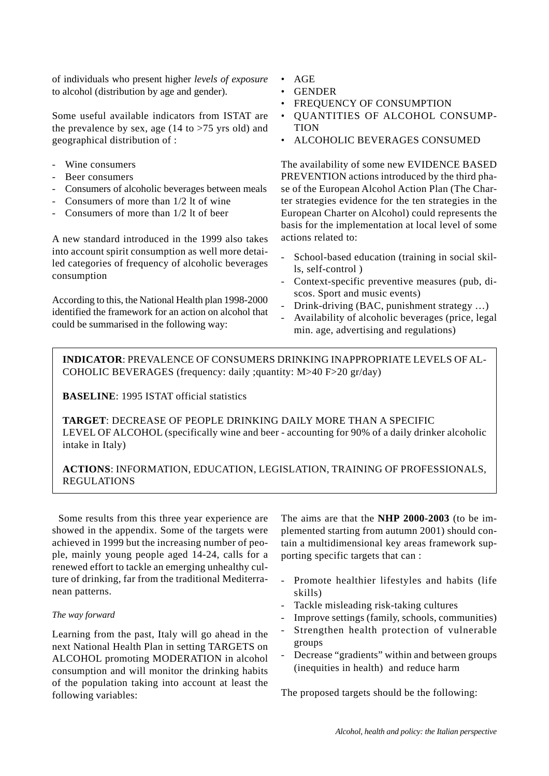of individuals who present higher *levels of exposure* to alcohol (distribution by age and gender).

Some useful available indicators from ISTAT are the prevalence by sex, age  $(14 \text{ to } > 75 \text{ yrs old})$  and geographical distribution of :

- Wine consumers
- Beer consumers
- Consumers of alcoholic beverages between meals
- Consumers of more than 1/2 lt of wine
- Consumers of more than 1/2 lt of beer

A new standard introduced in the 1999 also takes into account spirit consumption as well more detailed categories of frequency of alcoholic beverages consumption

According to this, the National Health plan 1998-2000 identified the framework for an action on alcohol that could be summarised in the following way:

- AGE
- GENDER
- FREQUENCY OF CONSUMPTION
- QUANTITIES OF ALCOHOL CONSUMP-**TION**
- ALCOHOLIC BEVERAGES CONSUMED

The availability of some new EVIDENCE BASED PREVENTION actions introduced by the third phase of the European Alcohol Action Plan (The Charter strategies evidence for the ten strategies in the European Charter on Alcohol) could represents the basis for the implementation at local level of some actions related to:

- School-based education (training in social skills, self-control )
- Context-specific preventive measures (pub, discos. Sport and music events)
- Drink-driving (BAC, punishment strategy ...)
- Availability of alcoholic beverages (price, legal min. age, advertising and regulations)

**INDICATOR**: PREVALENCE OF CONSUMERS DRINKING INAPPROPRIATE LEVELS OF AL-COHOLIC BEVERAGES (frequency: daily ;quantity: M>40 F>20 gr/day)

**BASELINE**: 1995 ISTAT official statistics

**TARGET**: DECREASE OF PEOPLE DRINKING DAILY MORE THAN A SPECIFIC LEVEL OF ALCOHOL (specifically wine and beer - accounting for 90% of a daily drinker alcoholic intake in Italy)

# **ACTIONS**: INFORMATION, EDUCATION, LEGISLATION, TRAINING OF PROFESSIONALS, REGULATIONS

 Some results from this three year experience are showed in the appendix. Some of the targets were achieved in 1999 but the increasing number of people, mainly young people aged 14-24, calls for a renewed effort to tackle an emerging unhealthy culture of drinking, far from the traditional Mediterranean patterns.

## *The way forward*

Learning from the past, Italy will go ahead in the next National Health Plan in setting TARGETS on ALCOHOL promoting MODERATION in alcohol consumption and will monitor the drinking habits of the population taking into account at least the following variables:

The aims are that the **NHP 2000-2003** (to be implemented starting from autumn 2001) should contain a multidimensional key areas framework supporting specific targets that can :

- Promote healthier lifestyles and habits (life skills)
- Tackle misleading risk-taking cultures
- Improve settings (family, schools, communities)
- Strengthen health protection of vulnerable groups
- Decrease "gradients" within and between groups (inequities in health) and reduce harm

The proposed targets should be the following: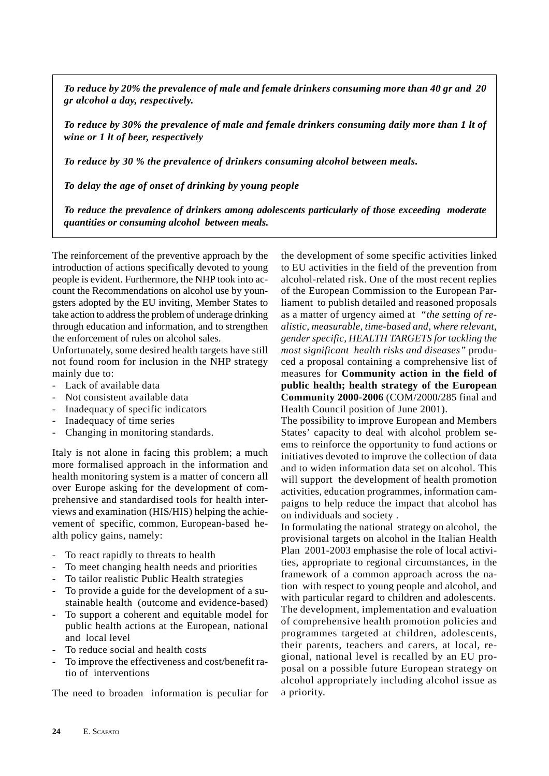*To reduce by 20% the prevalence of male and female drinkers consuming more than 40 gr and 20 gr alcohol a day, respectively.*

*To reduce by 30% the prevalence of male and female drinkers consuming daily more than 1 lt of wine or 1 lt of beer, respectively*

*To reduce by 30 % the prevalence of drinkers consuming alcohol between meals.*

*To delay the age of onset of drinking by young people*

*To reduce the prevalence of drinkers among adolescents particularly of those exceeding moderate quantities or consuming alcohol between meals.*

The reinforcement of the preventive approach by the introduction of actions specifically devoted to young people is evident. Furthermore, the NHP took into account the Recommendations on alcohol use by youngsters adopted by the EU inviting, Member States to take action to address the problem of underage drinking through education and information, and to strengthen the enforcement of rules on alcohol sales.

Unfortunately, some desired health targets have still not found room for inclusion in the NHP strategy mainly due to:

- Lack of available data
- Not consistent available data
- Inadequacy of specific indicators
- Inadequacy of time series
- Changing in monitoring standards.

Italy is not alone in facing this problem; a much more formalised approach in the information and health monitoring system is a matter of concern all over Europe asking for the development of comprehensive and standardised tools for health interviews and examination (HIS/HIS) helping the achievement of specific, common, European-based health policy gains, namely:

- To react rapidly to threats to health
- To meet changing health needs and priorities
- To tailor realistic Public Health strategies
- To provide a guide for the development of a sustainable health (outcome and evidence-based)
- To support a coherent and equitable model for public health actions at the European, national and local level
- To reduce social and health costs
- To improve the effectiveness and cost/benefit ratio of interventions

The need to broaden information is peculiar for

the development of some specific activities linked to EU activities in the field of the prevention from alcohol-related risk. One of the most recent replies of the European Commission to the European Parliament to publish detailed and reasoned proposals as a matter of urgency aimed at *"the setting of realistic, measurable, time-based and, where relevant, gender specific, HEALTH TARGETS for tackling the most significant health risks and diseases"* produced a proposal containing a comprehensive list of measures for **Community action in the field of public health; health strategy of the European Community 2000-2006** (COM/2000/285 final and Health Council position of June 2001).

The possibility to improve European and Members States' capacity to deal with alcohol problem seems to reinforce the opportunity to fund actions or initiatives devoted to improve the collection of data and to widen information data set on alcohol. This will support the development of health promotion activities, education programmes, information campaigns to help reduce the impact that alcohol has on individuals and society .

In formulating the national strategy on alcohol, the provisional targets on alcohol in the Italian Health Plan 2001-2003 emphasise the role of local activities, appropriate to regional circumstances, in the framework of a common approach across the nation with respect to young people and alcohol, and with particular regard to children and adolescents. The development, implementation and evaluation of comprehensive health promotion policies and programmes targeted at children, adolescents, their parents, teachers and carers, at local, regional, national level is recalled by an EU proposal on a possible future European strategy on alcohol appropriately including alcohol issue as a priority.